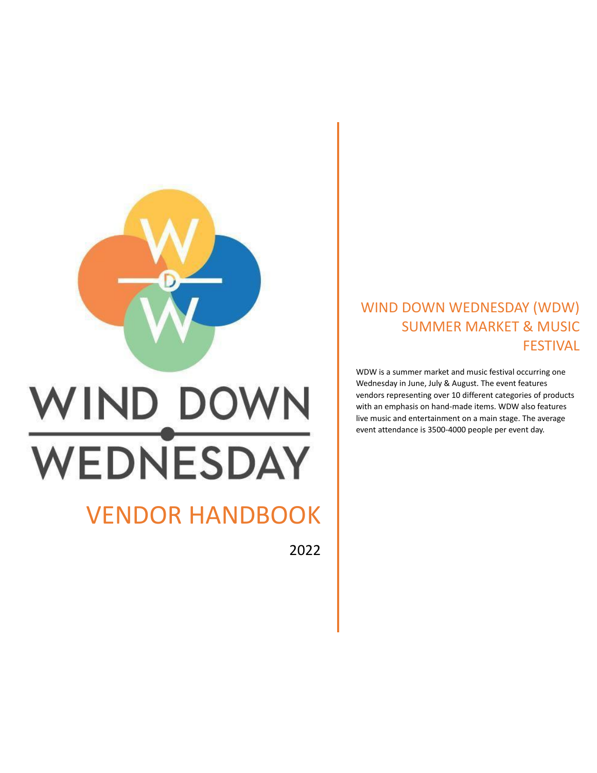

# VENDOR HANDBOOK

2022

### WIND DOWN WEDNESDAY (WDW) SUMMER MARKET & MUSIC FESTIVAL

WDW is a summer market and music festival occurring one Wednesday in June, July & August. The event features vendors representing over 10 different categories of products with an emphasis on hand-made items. WDW also features live music and entertainment on a main stage. The average event attendance is 3500-4000 people per event day.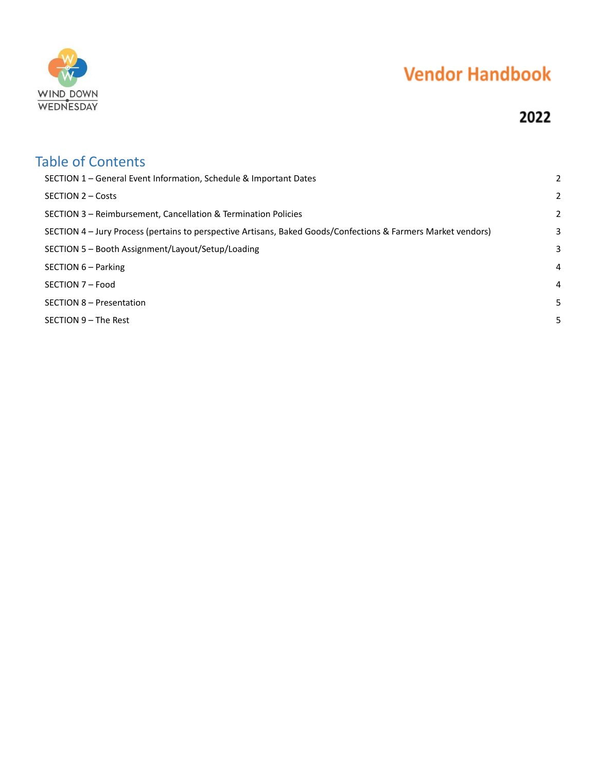

### 2022

| <b>Table of Contents</b><br>SECTION 1 – General Event Information, Schedule & Important Dates                 | 2 |
|---------------------------------------------------------------------------------------------------------------|---|
| SECTION 2 - Costs                                                                                             | 2 |
| SECTION 3 – Reimbursement, Cancellation & Termination Policies                                                | 2 |
| SECTION 4 - Jury Process (pertains to perspective Artisans, Baked Goods/Confections & Farmers Market vendors) | 3 |
| SECTION 5 - Booth Assignment/Layout/Setup/Loading                                                             | 3 |
| SECTION 6 - Parking                                                                                           | 4 |
| SECTION 7 - Food                                                                                              | 4 |
| SECTION 8 - Presentation                                                                                      | 5 |
| SECTION 9 – The Rest                                                                                          | 5 |
|                                                                                                               |   |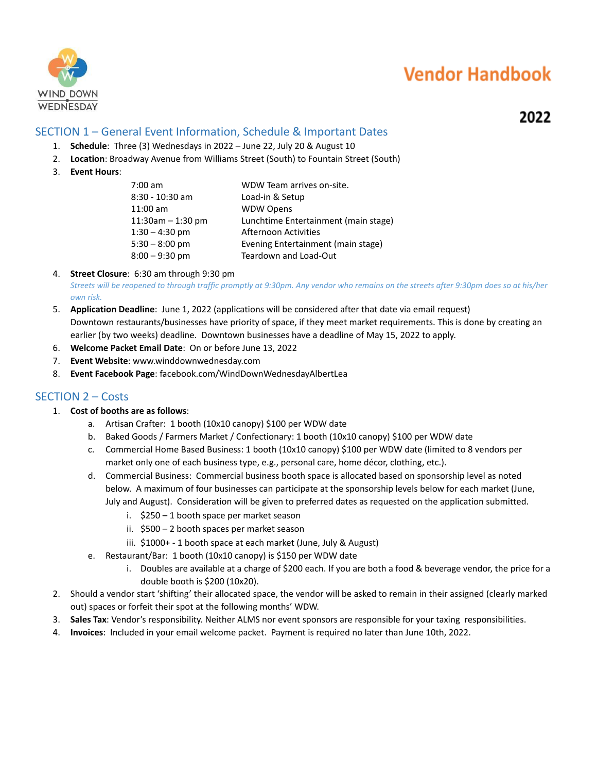

### 2022

#### <span id="page-2-0"></span>SECTION 1 – General Event Information, Schedule & Important Dates

- 1. **Schedule**: Three (3) Wednesdays in 2022 June 22, July 20 & August 10
- 2. **Location**: Broadway Avenue from Williams Street (South) to Fountain Street (South)
- 3. **Event Hours**:

| 7:00 am           | WDW Team arrives on-site.            |
|-------------------|--------------------------------------|
| 8:30 - 10:30 am   | Load-in & Setup                      |
| 11:00 am          | <b>WDW Opens</b>                     |
| 11:30am - 1:30 pm | Lunchtime Entertainment (main stage) |
| $1:30 - 4:30$ pm  | Afternoon Activities                 |
| 5:30 – 8:00 pm    | Evening Entertainment (main stage)   |
| $8:00 - 9:30$ pm  | Teardown and Load-Out                |
|                   |                                      |

#### 4. **Street Closure**: 6:30 am through 9:30 pm

*Streets will be reopened to through traffic promptly at 9:30pm. Any vendor who remains on the streets after 9:30pm does so at his/her own risk.*

- 5. **Application Deadline**: June 1, 2022 (applications will be considered after that date via email request) Downtown restaurants/businesses have priority of space, if they meet market requirements. This is done by creating an earlier (by two weeks) deadline. Downtown businesses have a deadline of May 15, 2022 to apply.
- 6. **Welcome Packet Email Date**: On or before June 13, 2022
- 7. **Event Website**: www.winddownwednesday.com
- 8. **Event Facebook Page**: facebook.com/WindDownWednesdayAlbertLea

#### <span id="page-2-1"></span>SECTION 2 – Costs

- 1. **Cost of booths are as follows**:
	- a. Artisan Crafter: 1 booth (10x10 canopy) \$100 per WDW date
	- b. Baked Goods / Farmers Market / Confectionary: 1 booth (10x10 canopy) \$100 per WDW date
	- c. Commercial Home Based Business: 1 booth (10x10 canopy) \$100 per WDW date (limited to 8 vendors per market only one of each business type, e.g., personal care, home décor, clothing, etc.).
	- d. Commercial Business: Commercial business booth space is allocated based on sponsorship level as noted below. A maximum of four businesses can participate at the sponsorship levels below for each market (June, July and August). Consideration will be given to preferred dates as requested on the application submitted.
		- i. \$250 1 booth space per market season
		- ii. \$500 2 booth spaces per market season
		- iii. \$1000+ 1 booth space at each market (June, July & August)
	- e. Restaurant/Bar: 1 booth (10x10 canopy) is \$150 per WDW date
		- i. Doubles are available at a charge of \$200 each. If you are both a food & beverage vendor, the price for a double booth is \$200 (10x20).
- 2. Should a vendor start 'shifting' their allocated space, the vendor will be asked to remain in their assigned (clearly marked out) spaces or forfeit their spot at the following months' WDW.
- 3. **Sales Tax**: Vendor's responsibility. Neither ALMS nor event sponsors are responsible for your taxing responsibilities.
- 4. **Invoices**: Included in your email welcome packet. Payment is required no later than June 10th, 2022.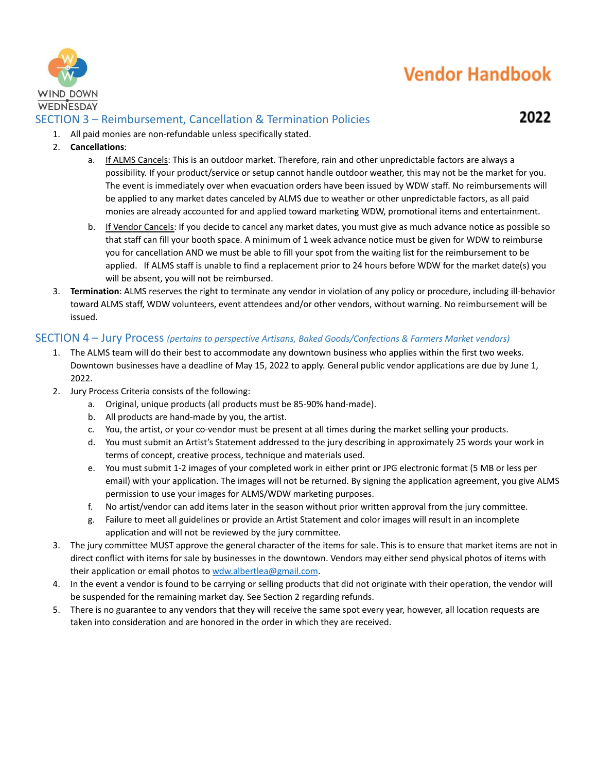

### <span id="page-3-0"></span>SECTION 3 – Reimbursement, Cancellation & Termination Policies

2022

- 1. All paid monies are non-refundable unless specifically stated.
- 2. **Cancellations**:
	- a. If ALMS Cancels: This is an outdoor market. Therefore, rain and other unpredictable factors are always a possibility. If your product/service or setup cannot handle outdoor weather, this may not be the market for you. The event is immediately over when evacuation orders have been issued by WDW staff. No reimbursements will be applied to any market dates canceled by ALMS due to weather or other unpredictable factors, as all paid monies are already accounted for and applied toward marketing WDW, promotional items and entertainment.
	- b. If Vendor Cancels: If you decide to cancel any market dates, you must give as much advance notice as possible so that staff can fill your booth space. A minimum of 1 week advance notice must be given for WDW to reimburse you for cancellation AND we must be able to fill your spot from the waiting list for the reimbursement to be applied. If ALMS staff is unable to find a replacement prior to 24 hours before WDW for the market date(s) you will be absent, you will not be reimbursed.
- 3. **Termination**: ALMS reserves the right to terminate any vendor in violation of any policy or procedure, including ill-behavior toward ALMS staff, WDW volunteers, event attendees and/or other vendors, without warning. No reimbursement will be issued.

#### <span id="page-3-1"></span>SECTION 4 – Jury Process *(pertains to perspective Artisans, Baked Goods/Confections & Farmers Market vendors)*

- 1. The ALMS team will do their best to accommodate any downtown business who applies within the first two weeks. Downtown businesses have a deadline of May 15, 2022 to apply. General public vendor applications are due by June 1, 2022.
- 2. Jury Process Criteria consists of the following:
	- a. Original, unique products (all products must be 85-90% hand-made).
	- b. All products are hand-made by you, the artist.
	- c. You, the artist, or your co-vendor must be present at all times during the market selling your products.
	- d. You must submit an Artist's Statement addressed to the jury describing in approximately 25 words your work in terms of concept, creative process, technique and materials used.
	- e. You must submit 1-2 images of your completed work in either print or JPG electronic format (5 MB or less per email) with your application. The images will not be returned. By signing the application agreement, you give ALMS permission to use your images for ALMS/WDW marketing purposes.
	- f. No artist/vendor can add items later in the season without prior written approval from the jury committee.
	- g. Failure to meet all guidelines or provide an Artist Statement and color images will result in an incomplete application and will not be reviewed by the jury committee.
- 3. The jury committee MUST approve the general character of the items for sale. This is to ensure that market items are not in direct conflict with items for sale by businesses in the downtown. Vendors may either send physical photos of items with their application or email photos to [wdw.albertlea@gmail.com.](mailto:wdw.albertlea@gmail.com)
- 4. In the event a vendor is found to be carrying or selling products that did not originate with their operation, the vendor will be suspended for the remaining market day. See Section 2 regarding refunds.
- 5. There is no guarantee to any vendors that they will receive the same spot every year, however, all location requests are taken into consideration and are honored in the order in which they are received.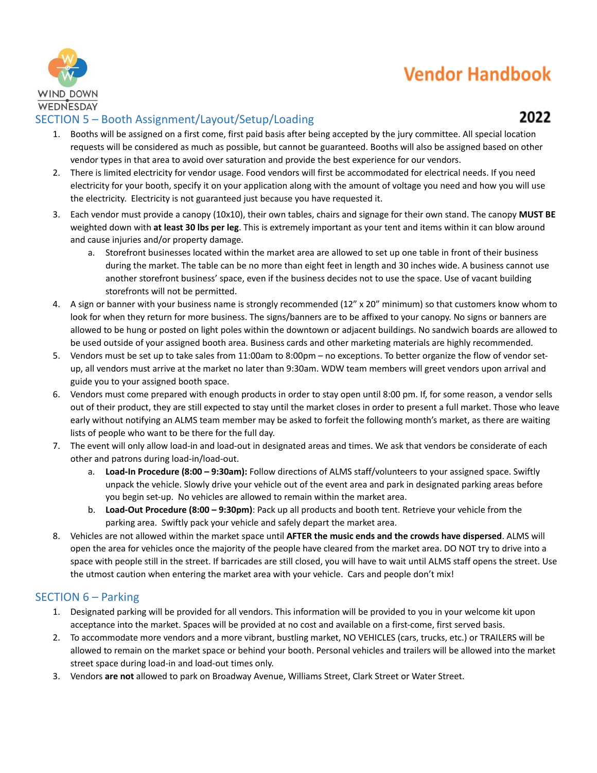

### <span id="page-4-0"></span>SECTION 5 – Booth Assignment/Layout/Setup/Loading

- 1. Booths will be assigned on a first come, first paid basis after being accepted by the jury committee. All special location requests will be considered as much as possible, but cannot be guaranteed. Booths will also be assigned based on other vendor types in that area to avoid over saturation and provide the best experience for our vendors.
- 2. There is limited electricity for vendor usage. Food vendors will first be accommodated for electrical needs. If you need electricity for your booth, specify it on your application along with the amount of voltage you need and how you will use the electricity. Electricity is not guaranteed just because you have requested it.
- 3. Each vendor must provide a canopy (10x10), their own tables, chairs and signage for their own stand. The canopy **MUST BE** weighted down with **at least 30 lbs per leg**. This is extremely important as your tent and items within it can blow around and cause injuries and/or property damage.
	- a. Storefront businesses located within the market area are allowed to set up one table in front of their business during the market. The table can be no more than eight feet in length and 30 inches wide. A business cannot use another storefront business' space, even if the business decides not to use the space. Use of vacant building storefronts will not be permitted.
- 4. A sign or banner with your business name is strongly recommended (12" x 20" minimum) so that customers know whom to look for when they return for more business. The signs/banners are to be affixed to your canopy. No signs or banners are allowed to be hung or posted on light poles within the downtown or adjacent buildings. No sandwich boards are allowed to be used outside of your assigned booth area. Business cards and other marketing materials are highly recommended.
- 5. Vendors must be set up to take sales from 11:00am to 8:00pm no exceptions. To better organize the flow of vendor setup, all vendors must arrive at the market no later than 9:30am. WDW team members will greet vendors upon arrival and guide you to your assigned booth space.
- 6. Vendors must come prepared with enough products in order to stay open until 8:00 pm. If, for some reason, a vendor sells out of their product, they are still expected to stay until the market closes in order to present a full market. Those who leave early without notifying an ALMS team member may be asked to forfeit the following month's market, as there are waiting lists of people who want to be there for the full day.
- 7. The event will only allow load-in and load-out in designated areas and times. We ask that vendors be considerate of each other and patrons during load-in/load-out.
	- a. **Load-In Procedure (8:00 – 9:30am):** Follow directions of ALMS staff/volunteers to your assigned space. Swiftly unpack the vehicle. Slowly drive your vehicle out of the event area and park in designated parking areas before you begin set-up. No vehicles are allowed to remain within the market area.
	- b. **Load-Out Procedure (8:00 – 9:30pm)**: Pack up all products and booth tent. Retrieve your vehicle from the parking area. Swiftly pack your vehicle and safely depart the market area.
- 8. Vehicles are not allowed within the market space until **AFTER the music ends and the crowds have dispersed**. ALMS will open the area for vehicles once the majority of the people have cleared from the market area. DO NOT try to drive into a space with people still in the street. If barricades are still closed, you will have to wait until ALMS staff opens the street. Use the utmost caution when entering the market area with your vehicle. Cars and people don't mix!

#### <span id="page-4-1"></span>SECTION 6 – Parking

- 1. Designated parking will be provided for all vendors. This information will be provided to you in your welcome kit upon acceptance into the market. Spaces will be provided at no cost and available on a first-come, first served basis.
- 2. To accommodate more vendors and a more vibrant, bustling market, NO VEHICLES (cars, trucks, etc.) or TRAILERS will be allowed to remain on the market space or behind your booth. Personal vehicles and trailers will be allowed into the market street space during load-in and load-out times only.
- 3. Vendors **are not** allowed to park on Broadway Avenue, Williams Street, Clark Street or Water Street.

### 2022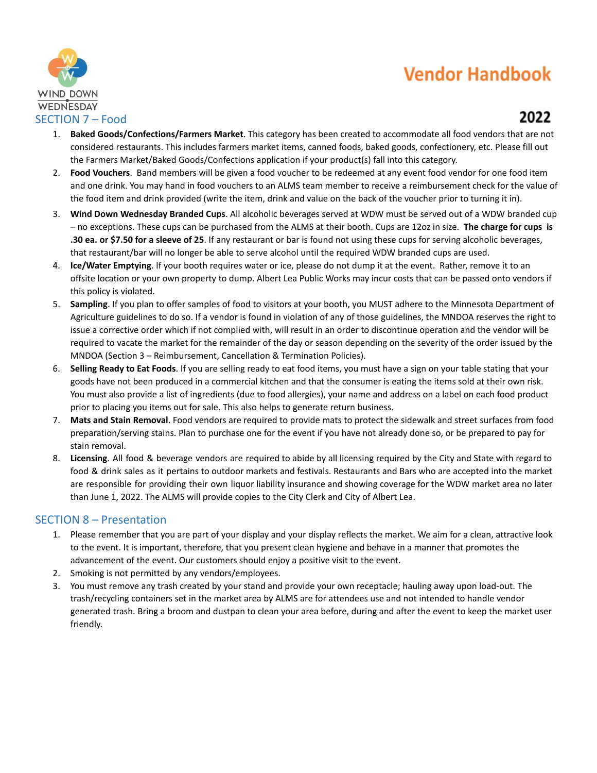

### 2022

- <span id="page-5-0"></span>1. **Baked Goods/Confections/Farmers Market**. This category has been created to accommodate all food vendors that are not considered restaurants. This includes farmers market items, canned foods, baked goods, confectionery, etc. Please fill out the Farmers Market/Baked Goods/Confections application if your product(s) fall into this category.
- 2. **Food Vouchers**. Band members will be given a food voucher to be redeemed at any event food vendor for one food item and one drink. You may hand in food vouchers to an ALMS team member to receive a reimbursement check for the value of the food item and drink provided (write the item, drink and value on the back of the voucher prior to turning it in).
- 3. **Wind Down Wednesday Branded Cups**. All alcoholic beverages served at WDW must be served out of a WDW branded cup – no exceptions. These cups can be purchased from the ALMS at their booth. Cups are 12oz in size. **The charge for cups is .30 ea. or \$7.50 for a sleeve of 25**. If any restaurant or bar is found not using these cups for serving alcoholic beverages, that restaurant/bar will no longer be able to serve alcohol until the required WDW branded cups are used.
- 4. **Ice/Water Emptying**. If your booth requires water or ice, please do not dump it at the event. Rather, remove it to an offsite location or your own property to dump. Albert Lea Public Works may incur costs that can be passed onto vendors if this policy is violated.
- 5. **Sampling**. If you plan to offer samples of food to visitors at your booth, you MUST adhere to the Minnesota Department of Agriculture guidelines to do so. If a vendor is found in violation of any of those guidelines, the MNDOA reserves the right to issue a corrective order which if not complied with, will result in an order to discontinue operation and the vendor will be required to vacate the market for the remainder of the day or season depending on the severity of the order issued by the MNDOA (Section 3 – Reimbursement, Cancellation & Termination Policies).
- 6. **Selling Ready to Eat Foods**. If you are selling ready to eat food items, you must have a sign on your table stating that your goods have not been produced in a commercial kitchen and that the consumer is eating the items sold at their own risk. You must also provide a list of ingredients (due to food allergies), your name and address on a label on each food product prior to placing you items out for sale. This also helps to generate return business.
- 7. **Mats and Stain Removal**. Food vendors are required to provide mats to protect the sidewalk and street surfaces from food preparation/serving stains. Plan to purchase one for the event if you have not already done so, or be prepared to pay for stain removal.
- 8. **Licensing**. All food & beverage vendors are required to abide by all licensing required by the City and State with regard to food & drink sales as it pertains to outdoor markets and festivals. Restaurants and Bars who are accepted into the market are responsible for providing their own liquor liability insurance and showing coverage for the WDW market area no later than June 1, 2022. The ALMS will provide copies to the City Clerk and City of Albert Lea.

#### <span id="page-5-1"></span>SECTION 8 – Presentation

- 1. Please remember that you are part of your display and your display reflects the market. We aim for a clean, attractive look to the event. It is important, therefore, that you present clean hygiene and behave in a manner that promotes the advancement of the event. Our customers should enjoy a positive visit to the event.
- 2. Smoking is not permitted by any vendors/employees.
- 3. You must remove any trash created by your stand and provide your own receptacle; hauling away upon load-out. The trash/recycling containers set in the market area by ALMS are for attendees use and not intended to handle vendor generated trash. Bring a broom and dustpan to clean your area before, during and after the event to keep the market user friendly.